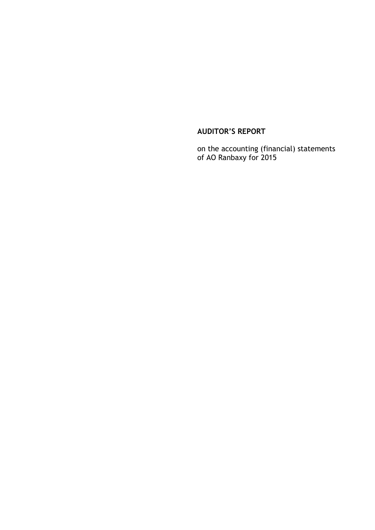# **AUDITOR'S REPORT**

on the accounting (financial) statements of AO Ranbaxy for 2015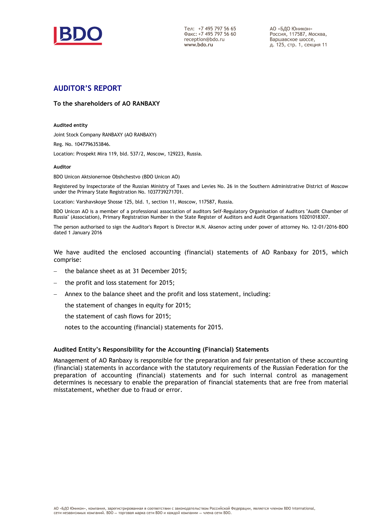

Тел: +7 495 797 56 65  $\Phi$ akc: +7 495 797 56 60 reception@bdo.ru www.bdo.ru

АО «БДО Юникон» Россия, 117587, Москва, Варшавское шоссе. д. 125, стр. 1, секция 11

# **AUDITOR'S REPORT**

#### **To the shareholders of AO RANBAXY**

#### **Audited entity**

Joint Stock Company RANBAXY (AO RANBAXY)

Reg. No. 1047796353846.

Location: Prospekt Mira 119, bld. 537/2, Moscow, 129223, Russia.

#### **Auditor**

BDO Unicon Aktsionernoe Obshchestvo (BDO Unicon AO)

Registered by Inspectorate of the Russian Ministry of Taxes and Levies No. 26 in the Southern Administrative District of Moscow under the Primary State Registration No. 1037739271701.

Location: Varshavskoye Shosse 125, bld. 1, section 11, Moscow, 117587, Russia.

BDO Unicon AO is a member of a professional association of auditors Self-Regulatory Organisation of Auditors "Audit Chamber of Russia" (Association), Primary Registration Number in the State Register of Auditors and Audit Organisations 10201018307.

The person authorised to sign the Auditor's Report is Director M.N. Aksenov acting under power of attorney No. 12-01/2016-BDO dated 1 January 2016

We have audited the enclosed accounting (financial) statements of AO Ranbaxy for 2015, which comprise:

- the balance sheet as at 31 December 2015;
- the profit and loss statement for 2015;
- Annex to the balance sheet and the profit and loss statement, including:

the statement of changes in equity for 2015;

the statement of cash flows for 2015;

notes to the accounting (financial) statements for 2015.

#### **Audited Entity's Responsibility for the Accounting (Financial) Statements**

Management of AO Ranbaxy is responsible for the preparation and fair presentation of these accounting (financial) statements in accordance with the statutory requirements of the Russian Federation for the preparation of accounting (financial) statements and for such internal control as management determines is necessary to enable the preparation of financial statements that are free from material misstatement, whether due to fraud or error.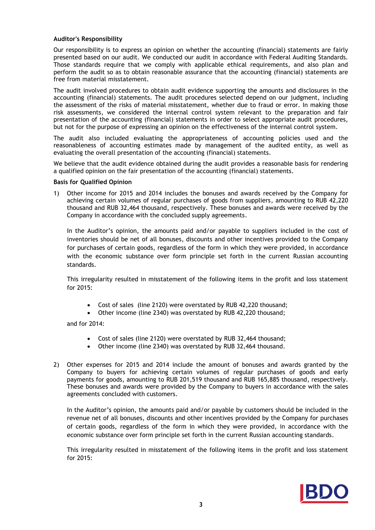### **Auditor's Responsibility**

Our responsibility is to express an opinion on whether the accounting (financial) statements are fairly presented based on our audit. We conducted our audit in accordance with Federal Auditing Standards. Those standards require that we comply with applicable ethical requirements, and also plan and perform the audit so as to obtain reasonable assurance that the accounting (financial) statements are free from material misstatement.

The audit involved procedures to obtain audit evidence supporting the amounts and disclosures in the accounting (financial) statements. The audit procedures selected depend on our judgment, including the assessment of the risks of material misstatement, whether due to fraud or error. In making those risk assessments, we considered the internal control system relevant to the preparation and fair presentation of the accounting (financial) statements in order to select appropriate audit procedures, but not for the purpose of expressing an opinion on the effectiveness of the internal control system.

The audit also included evaluating the appropriateness of accounting policies used and the reasonableness of accounting estimates made by management of the audited entity, as well as evaluating the overall presentation of the accounting (financial) statements.

We believe that the audit evidence obtained during the audit provides a reasonable basis for rendering a qualified opinion on the fair presentation of the accounting (financial) statements.

#### **Basis for Qualified Opinion**

1) Other income for 2015 and 2014 includes the bonuses and awards received by the Company for achieving certain volumes of regular purchases of goods from suppliers, amounting to RUB 42,220 thousand and RUB 32,464 thousand, respectively. These bonuses and awards were received by the Company in accordance with the concluded supply agreements.

In the Auditor's opinion, the amounts paid and/or payable to suppliers included in the cost of inventories should be net of all bonuses, discounts and other incentives provided to the Company for purchases of certain goods, regardless of the form in which they were provided, in accordance with the economic substance over form principle set forth in the current Russian accounting standards.

This irregularity resulted in misstatement of the following items in the profit and loss statement for 2015:

- Cost of sales (line 2120) were overstated by RUB 42,220 thousand;
- Other income (line 2340) was overstated by RUB 42,220 thousand;

and for 2014:

- Cost of sales (line 2120) were overstated by RUB 32,464 thousand;
- Other income (line 2340) was overstated by RUB 32,464 thousand.
- 2) Other expenses for 2015 and 2014 include the amount of bonuses and awards granted by the Company to buyers for achieving certain volumes of regular purchases of goods and early payments for goods, amounting to RUB 201,519 thousand and RUB 165,885 thousand, respectively. These bonuses and awards were provided by the Company to buyers in accordance with the sales agreements concluded with customers.

In the Auditor's opinion, the amounts paid and/or payable by customers should be included in the revenue net of all bonuses, discounts and other incentives provided by the Company for purchases of certain goods, regardless of the form in which they were provided, in accordance with the economic substance over form principle set forth in the current Russian accounting standards.

This irregularity resulted in misstatement of the following items in the profit and loss statement for 2015: